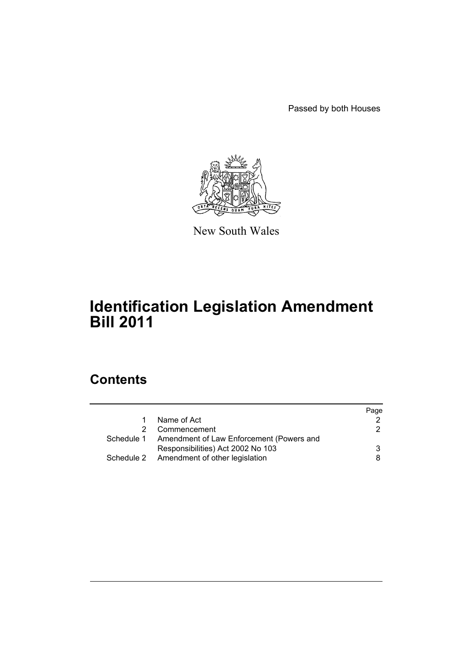Passed by both Houses



New South Wales

# **Identification Legislation Amendment Bill 2011**

# **Contents**

|                                                     | Page |
|-----------------------------------------------------|------|
| Name of Act                                         |      |
| Commencement                                        | 2    |
| Schedule 1 Amendment of Law Enforcement (Powers and |      |
| Responsibilities) Act 2002 No 103                   | 3    |
| Schedule 2 Amendment of other legislation           | 8    |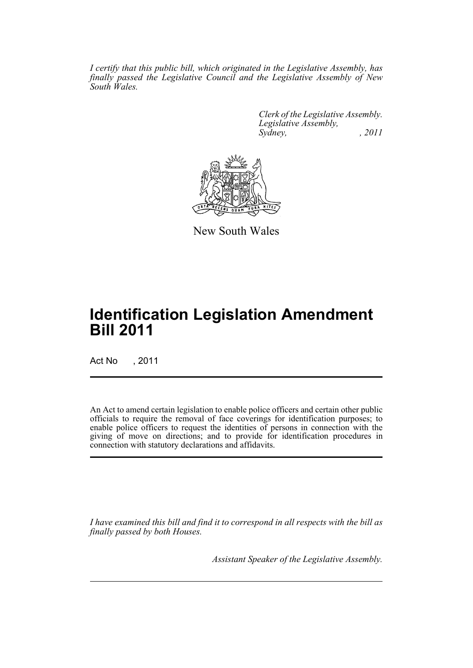*I certify that this public bill, which originated in the Legislative Assembly, has finally passed the Legislative Council and the Legislative Assembly of New South Wales.*

> *Clerk of the Legislative Assembly. Legislative Assembly, Sydney, , 2011*



New South Wales

# **Identification Legislation Amendment Bill 2011**

Act No , 2011

An Act to amend certain legislation to enable police officers and certain other public officials to require the removal of face coverings for identification purposes; to enable police officers to request the identities of persons in connection with the giving of move on directions; and to provide for identification procedures in connection with statutory declarations and affidavits.

*I have examined this bill and find it to correspond in all respects with the bill as finally passed by both Houses.*

*Assistant Speaker of the Legislative Assembly.*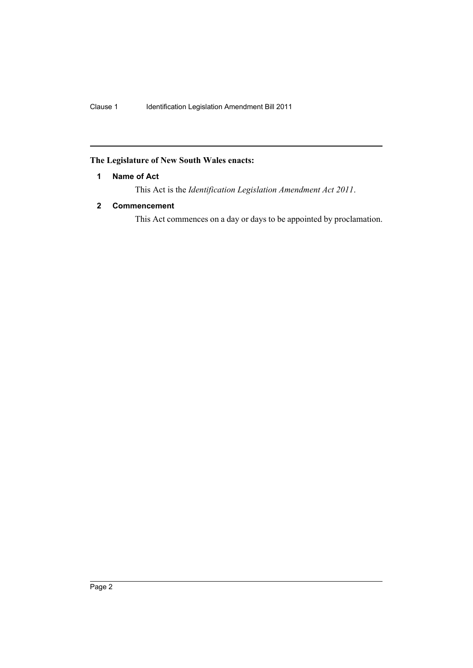# <span id="page-3-0"></span>**The Legislature of New South Wales enacts:**

## **1 Name of Act**

This Act is the *Identification Legislation Amendment Act 2011*.

# <span id="page-3-1"></span>**2 Commencement**

This Act commences on a day or days to be appointed by proclamation.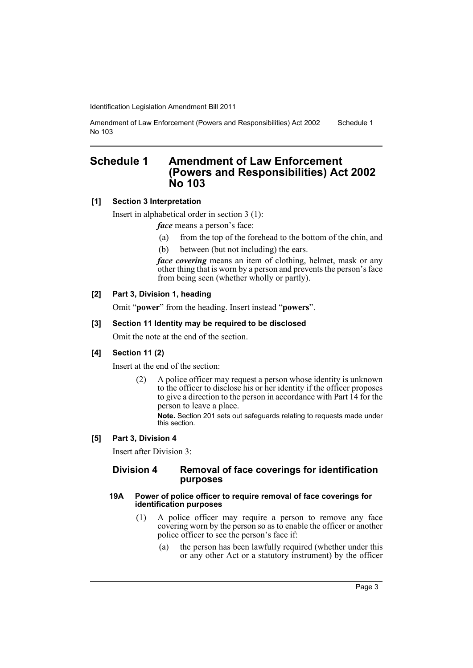```
Amendment of Law Enforcement (Powers and Responsibilities) Act 2002 
No 103
                                                                         Schedule 1
```
# <span id="page-4-0"></span>**Schedule 1 Amendment of Law Enforcement (Powers and Responsibilities) Act 2002 No 103**

## **[1] Section 3 Interpretation**

Insert in alphabetical order in section 3 (1):

*face* means a person's face:

- (a) from the top of the forehead to the bottom of the chin, and
- (b) between (but not including) the ears.

*face covering* means an item of clothing, helmet, mask or any other thing that is worn by a person and prevents the person's face from being seen (whether wholly or partly).

## **[2] Part 3, Division 1, heading**

Omit "**power**" from the heading. Insert instead "**powers**".

#### **[3] Section 11 Identity may be required to be disclosed**

Omit the note at the end of the section.

## **[4] Section 11 (2)**

Insert at the end of the section:

(2) A police officer may request a person whose identity is unknown to the officer to disclose his or her identity if the officer proposes to give a direction to the person in accordance with Part 14 for the person to leave a place.

**Note.** Section 201 sets out safeguards relating to requests made under this section.

## **[5] Part 3, Division 4**

Insert after Division 3:

## **Division 4 Removal of face coverings for identification purposes**

#### **19A Power of police officer to require removal of face coverings for identification purposes**

- (1) A police officer may require a person to remove any face covering worn by the person so as to enable the officer or another police officer to see the person's face if:
	- (a) the person has been lawfully required (whether under this or any other Act or a statutory instrument) by the officer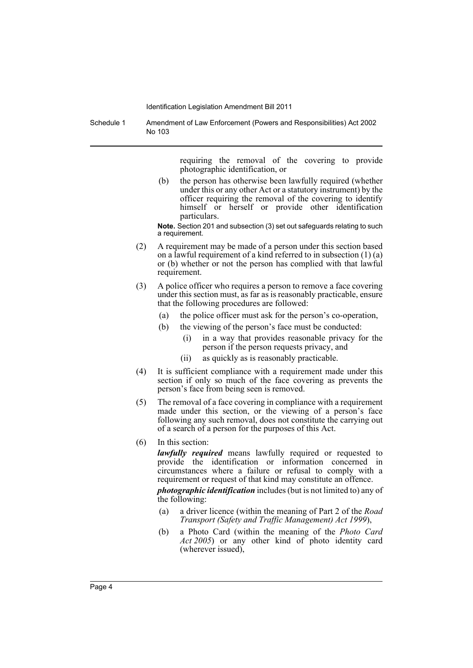Schedule 1 Amendment of Law Enforcement (Powers and Responsibilities) Act 2002 No 103

> requiring the removal of the covering to provide photographic identification, or

(b) the person has otherwise been lawfully required (whether under this or any other Act or a statutory instrument) by the officer requiring the removal of the covering to identify himself or herself or provide other identification particulars.

**Note.** Section 201 and subsection (3) set out safeguards relating to such a requirement.

- (2) A requirement may be made of a person under this section based on a lawful requirement of a kind referred to in subsection  $(1)$  (a) or (b) whether or not the person has complied with that lawful requirement.
- (3) A police officer who requires a person to remove a face covering under this section must, as far as is reasonably practicable, ensure that the following procedures are followed:
	- (a) the police officer must ask for the person's co-operation,
	- (b) the viewing of the person's face must be conducted:
		- (i) in a way that provides reasonable privacy for the person if the person requests privacy, and
		- (ii) as quickly as is reasonably practicable.
- (4) It is sufficient compliance with a requirement made under this section if only so much of the face covering as prevents the person's face from being seen is removed.
- (5) The removal of a face covering in compliance with a requirement made under this section, or the viewing of a person's face following any such removal, does not constitute the carrying out of a search of a person for the purposes of this Act.
- (6) In this section:

*lawfully required* means lawfully required or requested to provide the identification or information concerned in circumstances where a failure or refusal to comply with a requirement or request of that kind may constitute an offence.

*photographic identification* includes (but is not limited to) any of the following:

- (a) a driver licence (within the meaning of Part 2 of the *Road Transport (Safety and Traffic Management) Act 1999*),
- (b) a Photo Card (within the meaning of the *Photo Card Act 2005*) or any other kind of photo identity card (wherever issued),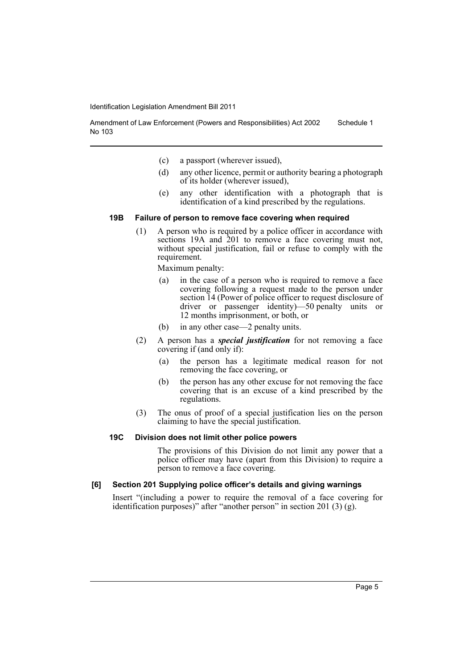Amendment of Law Enforcement (Powers and Responsibilities) Act 2002 No 103 Schedule 1

- (c) a passport (wherever issued),
- (d) any other licence, permit or authority bearing a photograph of its holder (wherever issued),
- (e) any other identification with a photograph that is identification of a kind prescribed by the regulations.

#### **19B Failure of person to remove face covering when required**

(1) A person who is required by a police officer in accordance with sections 19A and 201 to remove a face covering must not, without special justification, fail or refuse to comply with the requirement.

Maximum penalty:

- (a) in the case of a person who is required to remove a face covering following a request made to the person under section 14 (Power of police officer to request disclosure of driver or passenger identity)—50 penalty units or 12 months imprisonment, or both, or
- (b) in any other case—2 penalty units.
- (2) A person has a *special justification* for not removing a face covering if (and only if):
	- (a) the person has a legitimate medical reason for not removing the face covering, or
	- (b) the person has any other excuse for not removing the face covering that is an excuse of a kind prescribed by the regulations.
- (3) The onus of proof of a special justification lies on the person claiming to have the special justification.

#### **19C Division does not limit other police powers**

The provisions of this Division do not limit any power that a police officer may have (apart from this Division) to require a person to remove a face covering.

#### **[6] Section 201 Supplying police officer's details and giving warnings**

Insert "(including a power to require the removal of a face covering for identification purposes)" after "another person" in section 201 (3) (g).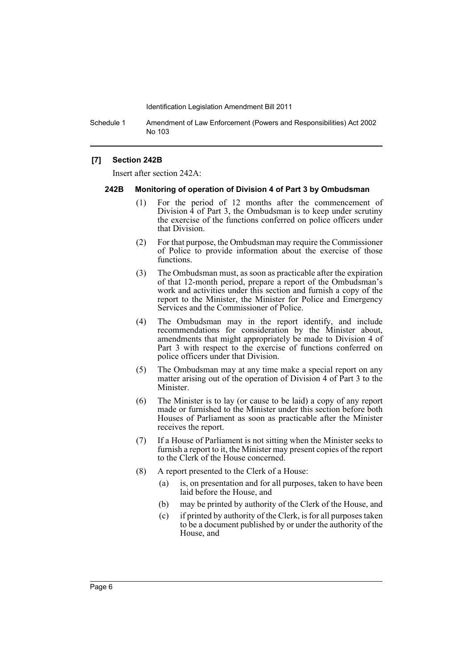Schedule 1 Amendment of Law Enforcement (Powers and Responsibilities) Act 2002 No 103

#### **[7] Section 242B**

Insert after section 242A:

#### **242B Monitoring of operation of Division 4 of Part 3 by Ombudsman**

- (1) For the period of 12 months after the commencement of Division 4 of Part 3, the Ombudsman is to keep under scrutiny the exercise of the functions conferred on police officers under that Division.
- (2) For that purpose, the Ombudsman may require the Commissioner of Police to provide information about the exercise of those functions.
- (3) The Ombudsman must, as soon as practicable after the expiration of that 12-month period, prepare a report of the Ombudsman's work and activities under this section and furnish a copy of the report to the Minister, the Minister for Police and Emergency Services and the Commissioner of Police.
- (4) The Ombudsman may in the report identify, and include recommendations for consideration by the Minister about, amendments that might appropriately be made to Division 4 of Part 3 with respect to the exercise of functions conferred on police officers under that Division.
- (5) The Ombudsman may at any time make a special report on any matter arising out of the operation of Division 4 of Part 3 to the Minister.
- (6) The Minister is to lay (or cause to be laid) a copy of any report made or furnished to the Minister under this section before both Houses of Parliament as soon as practicable after the Minister receives the report.
- (7) If a House of Parliament is not sitting when the Minister seeks to furnish a report to it, the Minister may present copies of the report to the Clerk of the House concerned.
- (8) A report presented to the Clerk of a House:
	- (a) is, on presentation and for all purposes, taken to have been laid before the House, and
	- (b) may be printed by authority of the Clerk of the House, and
	- (c) if printed by authority of the Clerk, is for all purposes taken to be a document published by or under the authority of the House, and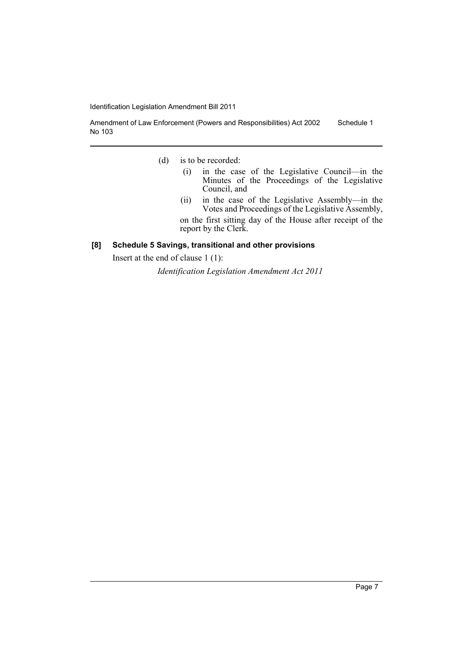Amendment of Law Enforcement (Powers and Responsibilities) Act 2002 No 103 Schedule 1

- (d) is to be recorded:
	- (i) in the case of the Legislative Council—in the Minutes of the Proceedings of the Legislative Council, and
	- (ii) in the case of the Legislative Assembly—in the Votes and Proceedings of the Legislative Assembly,

on the first sitting day of the House after receipt of the report by the Clerk.

## **[8] Schedule 5 Savings, transitional and other provisions**

Insert at the end of clause 1 (1):

*Identification Legislation Amendment Act 2011*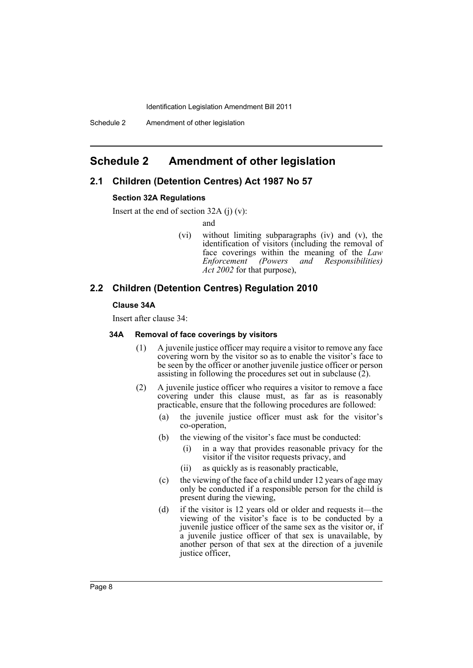# <span id="page-9-0"></span>**Schedule 2 Amendment of other legislation**

## **2.1 Children (Detention Centres) Act 1987 No 57**

#### **Section 32A Regulations**

Insert at the end of section  $32A$  (j) (v):

and

(vi) without limiting subparagraphs (iv) and (v), the identification of visitors (including the removal of face coverings within the meaning of the *Law Enforcement (Powers and Responsibilities) Act 2002* for that purpose),

## **2.2 Children (Detention Centres) Regulation 2010**

#### **Clause 34A**

Insert after clause 34:

### **34A Removal of face coverings by visitors**

- (1) A juvenile justice officer may require a visitor to remove any face covering worn by the visitor so as to enable the visitor's face to be seen by the officer or another juvenile justice officer or person assisting in following the procedures set out in subclause (2).
- (2) A juvenile justice officer who requires a visitor to remove a face covering under this clause must, as far as is reasonably practicable, ensure that the following procedures are followed:
	- (a) the juvenile justice officer must ask for the visitor's co-operation,
	- (b) the viewing of the visitor's face must be conducted:
		- (i) in a way that provides reasonable privacy for the visitor if the visitor requests privacy, and
		- (ii) as quickly as is reasonably practicable,
	- (c) the viewing of the face of a child under 12 years of age may only be conducted if a responsible person for the child is present during the viewing,
	- (d) if the visitor is 12 years old or older and requests it—the viewing of the visitor's face is to be conducted by a juvenile justice officer of the same sex as the visitor or, if a juvenile justice officer of that sex is unavailable, by another person of that sex at the direction of a juvenile justice officer,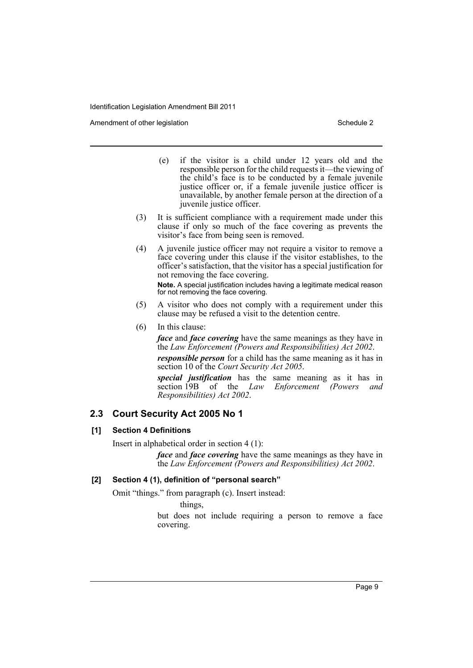Amendment of other legislation Schedule 2 and Schedule 2 and Schedule 2 and Schedule 2 and Schedule 2 and Schedule 2

- (e) if the visitor is a child under 12 years old and the responsible person for the child requests it—the viewing of the child's face is to be conducted by a female juvenile justice officer or, if a female juvenile justice officer is unavailable, by another female person at the direction of a juvenile justice officer.
- (3) It is sufficient compliance with a requirement made under this clause if only so much of the face covering as prevents the visitor's face from being seen is removed.
- (4) A juvenile justice officer may not require a visitor to remove a face covering under this clause if the visitor establishes, to the officer's satisfaction, that the visitor has a special justification for not removing the face covering.

**Note.** A special justification includes having a legitimate medical reason for not removing the face covering.

- (5) A visitor who does not comply with a requirement under this clause may be refused a visit to the detention centre.
- (6) In this clause:

*face* and *face covering* have the same meanings as they have in the *Law Enforcement (Powers and Responsibilities) Act 2002*.

*responsible person* for a child has the same meaning as it has in section 10 of the *Court Security Act 2005*.

*special justification* has the same meaning as it has in section 19B of the *Law Enforcement (Powers and Responsibilities) Act 2002*.

## **2.3 Court Security Act 2005 No 1**

## **[1] Section 4 Definitions**

Insert in alphabetical order in section 4 (1):

*face* and *face covering* have the same meanings as they have in the *Law Enforcement (Powers and Responsibilities) Act 2002*.

## **[2] Section 4 (1), definition of "personal search"**

Omit "things." from paragraph (c). Insert instead:

things,

but does not include requiring a person to remove a face covering.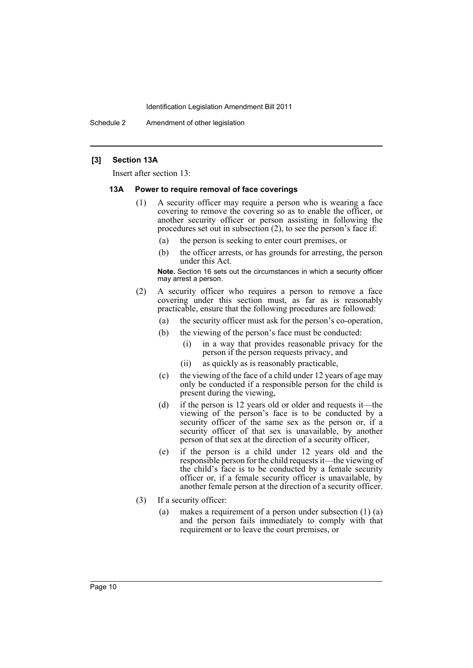Schedule 2 Amendment of other legislation

#### **[3] Section 13A**

Insert after section 13:

#### **13A Power to require removal of face coverings**

- (1) A security officer may require a person who is wearing a face covering to remove the covering so as to enable the officer, or another security officer or person assisting in following the procedures set out in subsection (2), to see the person's face if:
	- (a) the person is seeking to enter court premises, or
	- (b) the officer arrests, or has grounds for arresting, the person under this Act.

**Note.** Section 16 sets out the circumstances in which a security officer may arrest a person.

- (2) A security officer who requires a person to remove a face covering under this section must, as far as is reasonably practicable, ensure that the following procedures are followed:
	- (a) the security officer must ask for the person's co-operation,
	- (b) the viewing of the person's face must be conducted:
		- (i) in a way that provides reasonable privacy for the person if the person requests privacy, and
		- (ii) as quickly as is reasonably practicable,
	- (c) the viewing of the face of a child under 12 years of age may only be conducted if a responsible person for the child is present during the viewing,
	- (d) if the person is 12 years old or older and requests it—the viewing of the person's face is to be conducted by a security officer of the same sex as the person or, if a security officer of that sex is unavailable, by another person of that sex at the direction of a security officer,
	- (e) if the person is a child under 12 years old and the responsible person for the child requests it—the viewing of the child's face is to be conducted by a female security officer or, if a female security officer is unavailable, by another female person at the direction of a security officer.
- (3) If a security officer:
	- (a) makes a requirement of a person under subsection (1) (a) and the person fails immediately to comply with that requirement or to leave the court premises, or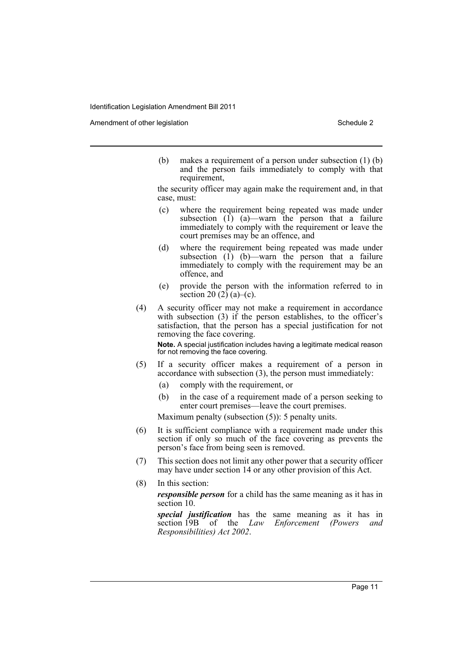Amendment of other legislation Schedule 2 and Schedule 2

(b) makes a requirement of a person under subsection (1) (b) and the person fails immediately to comply with that requirement,

the security officer may again make the requirement and, in that case, must:

- (c) where the requirement being repeated was made under subsection  $(1)$   $(a)$ —warn the person that a failure immediately to comply with the requirement or leave the court premises may be an offence, and
- (d) where the requirement being repeated was made under subsection  $(1)$  (b)—warn the person that a failure immediately to comply with the requirement may be an offence, and
- (e) provide the person with the information referred to in section 20  $(2)$   $(a)$ – $(c)$ .
- (4) A security officer may not make a requirement in accordance with subsection (3) if the person establishes, to the officer's satisfaction, that the person has a special justification for not removing the face covering.

**Note.** A special justification includes having a legitimate medical reason for not removing the face covering.

- (5) If a security officer makes a requirement of a person in accordance with subsection (3), the person must immediately:
	- (a) comply with the requirement, or
	- (b) in the case of a requirement made of a person seeking to enter court premises—leave the court premises.

Maximum penalty (subsection (5)): 5 penalty units.

- (6) It is sufficient compliance with a requirement made under this section if only so much of the face covering as prevents the person's face from being seen is removed.
- (7) This section does not limit any other power that a security officer may have under section 14 or any other provision of this Act.
- (8) In this section:

*responsible person* for a child has the same meaning as it has in section 10.

*special justification* has the same meaning as it has in section 19B of the *Law Enforcement (Powers and Responsibilities) Act 2002*.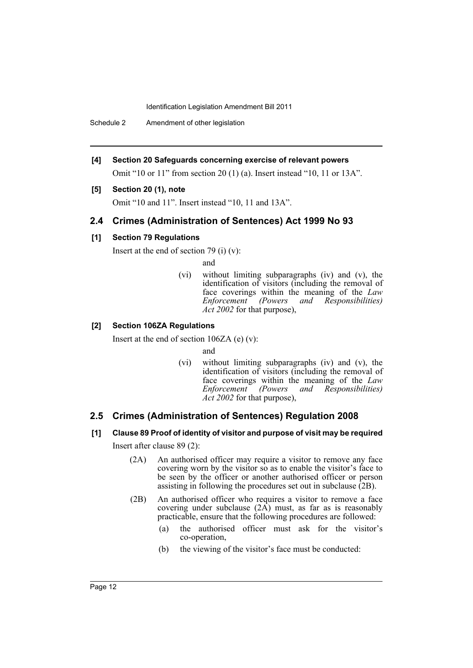Schedule 2 Amendment of other legislation

**[4] Section 20 Safeguards concerning exercise of relevant powers**

Omit "10 or 11" from section 20 (1) (a). Insert instead "10, 11 or 13A".

## **[5] Section 20 (1), note**

Omit "10 and 11". Insert instead "10, 11 and 13A".

# **2.4 Crimes (Administration of Sentences) Act 1999 No 93**

#### **[1] Section 79 Regulations**

Insert at the end of section 79 (i)  $(v)$ :

and

(vi) without limiting subparagraphs (iv) and (v), the identification of visitors (including the removal of face coverings within the meaning of the *Law Enforcement (Powers and Responsibilities) Act 2002* for that purpose),

#### **[2] Section 106ZA Regulations**

Insert at the end of section 106ZA (e) (v):

and

(vi) without limiting subparagraphs (iv) and (v), the identification of visitors (including the removal of face coverings within the meaning of the *Law Enforcement (Powers and Responsibilities) Act 2002* for that purpose),

## **2.5 Crimes (Administration of Sentences) Regulation 2008**

**[1] Clause 89 Proof of identity of visitor and purpose of visit may be required**

Insert after clause 89 (2):

- (2A) An authorised officer may require a visitor to remove any face covering worn by the visitor so as to enable the visitor's face to be seen by the officer or another authorised officer or person assisting in following the procedures set out in subclause (2B).
- (2B) An authorised officer who requires a visitor to remove a face covering under subclause  $(2\vec{A})$  must, as far as is reasonably practicable, ensure that the following procedures are followed:
	- (a) the authorised officer must ask for the visitor's co-operation,
	- (b) the viewing of the visitor's face must be conducted: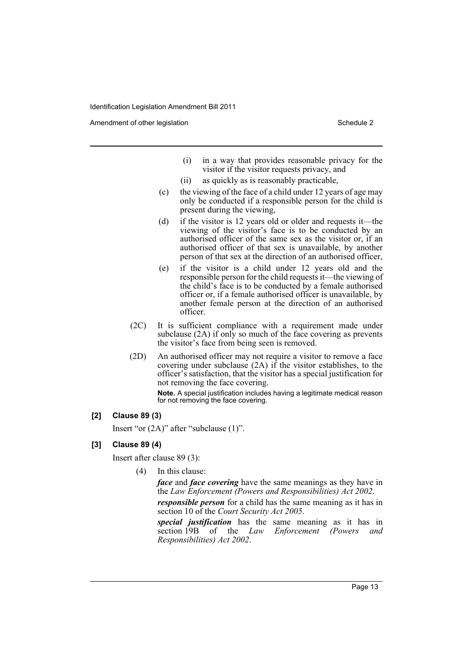Amendment of other legislation Schedule 2 and Schedule 2 and Schedule 2 and Schedule 2 and Schedule 2 and Schedule 2

- (i) in a way that provides reasonable privacy for the visitor if the visitor requests privacy, and
- (ii) as quickly as is reasonably practicable,
- (c) the viewing of the face of a child under 12 years of age may only be conducted if a responsible person for the child is present during the viewing,
- (d) if the visitor is 12 years old or older and requests it—the viewing of the visitor's face is to be conducted by an authorised officer of the same sex as the visitor or, if an authorised officer of that sex is unavailable, by another person of that sex at the direction of an authorised officer,
- (e) if the visitor is a child under 12 years old and the responsible person for the child requests it—the viewing of the child's face is to be conducted by a female authorised officer or, if a female authorised officer is unavailable, by another female person at the direction of an authorised officer.
- (2C) It is sufficient compliance with a requirement made under subclause (2A) if only so much of the face covering as prevents the visitor's face from being seen is removed.
- (2D) An authorised officer may not require a visitor to remove a face covering under subclause (2A) if the visitor establishes, to the officer's satisfaction, that the visitor has a special justification for not removing the face covering.

**Note.** A special justification includes having a legitimate medical reason for not removing the face covering.

#### **[2] Clause 89 (3)**

Insert "or (2A)" after "subclause (1)".

## **[3] Clause 89 (4)**

Insert after clause 89 (3):

(4) In this clause:

*face* and *face covering* have the same meanings as they have in the *Law Enforcement (Powers and Responsibilities) Act 2002*.

*responsible person* for a child has the same meaning as it has in section 10 of the *Court Security Act 2005*.

*special justification* has the same meaning as it has in section 19B of the *Law Enforcement (Powers and Responsibilities) Act 2002*.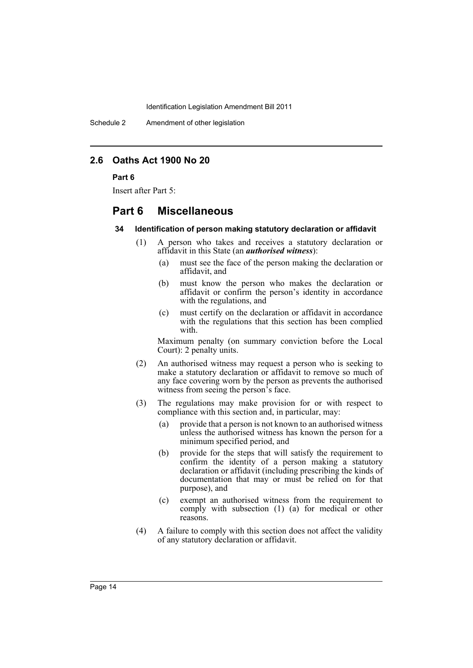Schedule 2 Amendment of other legislation

# **2.6 Oaths Act 1900 No 20**

#### **Part 6**

Insert after Part 5:

# **Part 6 Miscellaneous**

#### **34 Identification of person making statutory declaration or affidavit**

- (1) A person who takes and receives a statutory declaration or affidavit in this State (an *authorised witness*):
	- (a) must see the face of the person making the declaration or affidavit, and
	- (b) must know the person who makes the declaration or affidavit or confirm the person's identity in accordance with the regulations, and
	- (c) must certify on the declaration or affidavit in accordance with the regulations that this section has been complied with.

Maximum penalty (on summary conviction before the Local Court): 2 penalty units.

- (2) An authorised witness may request a person who is seeking to make a statutory declaration or affidavit to remove so much of any face covering worn by the person as prevents the authorised witness from seeing the person<sup>3</sup> face.
- (3) The regulations may make provision for or with respect to compliance with this section and, in particular, may:
	- (a) provide that a person is not known to an authorised witness unless the authorised witness has known the person for a minimum specified period, and
	- (b) provide for the steps that will satisfy the requirement to confirm the identity of a person making a statutory declaration or affidavit (including prescribing the kinds of documentation that may or must be relied on for that purpose), and
	- (c) exempt an authorised witness from the requirement to comply with subsection (1) (a) for medical or other reasons.
- (4) A failure to comply with this section does not affect the validity of any statutory declaration or affidavit.